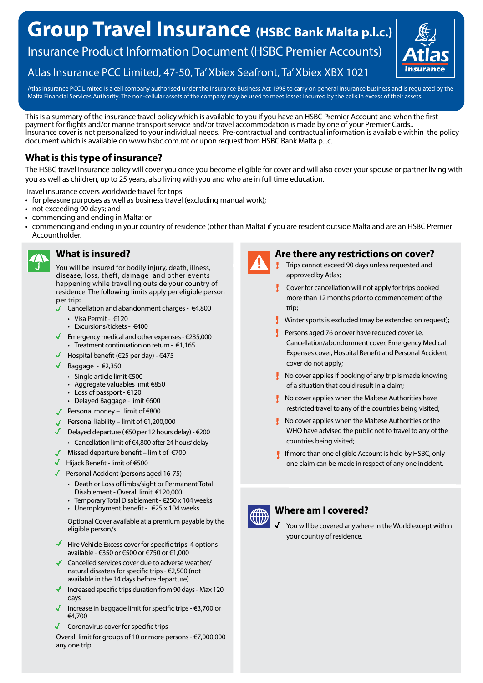# **Group Travel Insurance (HSBC Bank Malta p.l.c.)**

Insurance Product Information Document (HSBC Premier Accounts)

# Atlas Insurance PCC Limited, 47-50, Ta' Xbiex Seafront, Ta' Xbiex XBX 1021

Atlas Insurance PCC Limited is a cell company authorised under the Insurance Business Act 1998 to carry on general insurance business and is regulated by the Malta Financial Services Authority. The non-cellular assets of the company may be used to meet losses incurred by the cells in excess of their assets.

This is a summary of the insurance travel policy which is available to you if you have an HSBC Premier Account and when the first payment for flights and/or marine transport service and/or travel accommodation is made by one of your Premier Cards.. Insurance cover is not personalized to your individual needs. Pre-contractual and contractual information is available within the policy document which is available on www.hsbc.com.mt or upon request from HSBC Bank Malta p.l.c.

# **What is this type of insurance?**

The HSBC travel Insurance policy will cover you once you become eligible for cover and will also cover your spouse or partner living with you as well as children, up to 25 years, also living with you and who are in full time education.

Travel insurance covers worldwide travel for trips:

- for pleasure purposes as well as business travel (excluding manual work);
- not exceeding 90 days; and
- commencing and ending in Malta; or
- commencing and ending in your country of residence (other than Malta) if you are resident outside Malta and are an HSBC Premier Accountholder.



# **What is insured?**

You will be insured for bodily injury, death, illness, disease, loss, theft, damage and other events happening while travelling outside your country of residence. The following limits apply per eligible person per trip:

- Cancellation and abandonment charges €4,800
	- Visa Permit €120
	- Excursions/tickets €400
- Emergency medical and other expenses  $\epsilon$ 235,000 • Treatment continuation on return -  $\epsilon$ 1,165
- Hospital benefit (€25 per day)  $€475$
- Baggage  $\epsilon$ 2,350
	- Single article limit €500
	- Aggregate valuables limit €850
	- Loss of passport €120
- Delayed Baggage limit €600
- Personal money limit of €800
- Personal liability limit of €1,200,000
- Delayed departure ( $650$  per 12 hours delay)  $6200$ 
	- Cancellation limit of €4,800 after 24 hours' delay
- Missed departure benefit limit of  $\epsilon$ 700
- Hijack Benefit limit of €500
- Personal Accident (persons aged 16-75)
	- Death or Loss of limbs/sight or Permanent Total Disablement - Overall limit €120,000
	- Temporary Total Disablement €250 x 104 weeks
	- Unemployment benefit  $\epsilon$ 25 x 104 weeks

Optional Cover available at a premium payable by the eligible person/s

- $\blacksquare$  Hire Vehicle Excess cover for specific trips: 4 options available - €350 or €500 or €750 or €1,000
- Cancelled services cover due to adverse weather/ natural disasters for specific trips - €2,500 (not available in the 14 days before departure)
- Increased specific trips duration from 90 days Max 120 days
- Increase in baggage limit for specific trips €3,700 or €4,700
- Coronavirus cover for specific trips

Overall limit for groups of 10 or more persons - €7,000,000 any one trIp.



#### **Are there any restrictions on cover?**

- Trips cannot exceed 90 days unless requested and approved by Atlas;
- Cover for cancellation will not apply for trips booked more than 12 months prior to commencement of the trip;
- $\downarrow$  Winter sports is excluded (may be extended on request);
- Persons aged 76 or over have reduced cover i.e. Cancellation/abondonment cover, Emergency Medical Expenses cover, Hospital Benefit and Personal Accident cover do not apply;
- $\mathbf{I}$  No cover applies if booking of any trip is made knowing of a situation that could result in a claim;
- No cover applies when the Maltese Authorities have restricted travel to any of the countries being visited;
- $\blacksquare$  No cover applies when the Maltese Authorities or the WHO have advised the public not to travel to any of the countries being visited;
- If more than one eligible Account is held by HSBC, only one claim can be made in respect of any one incident.



# **Where am I covered?**

You will be covered anywhere in the World except within your country of residence.